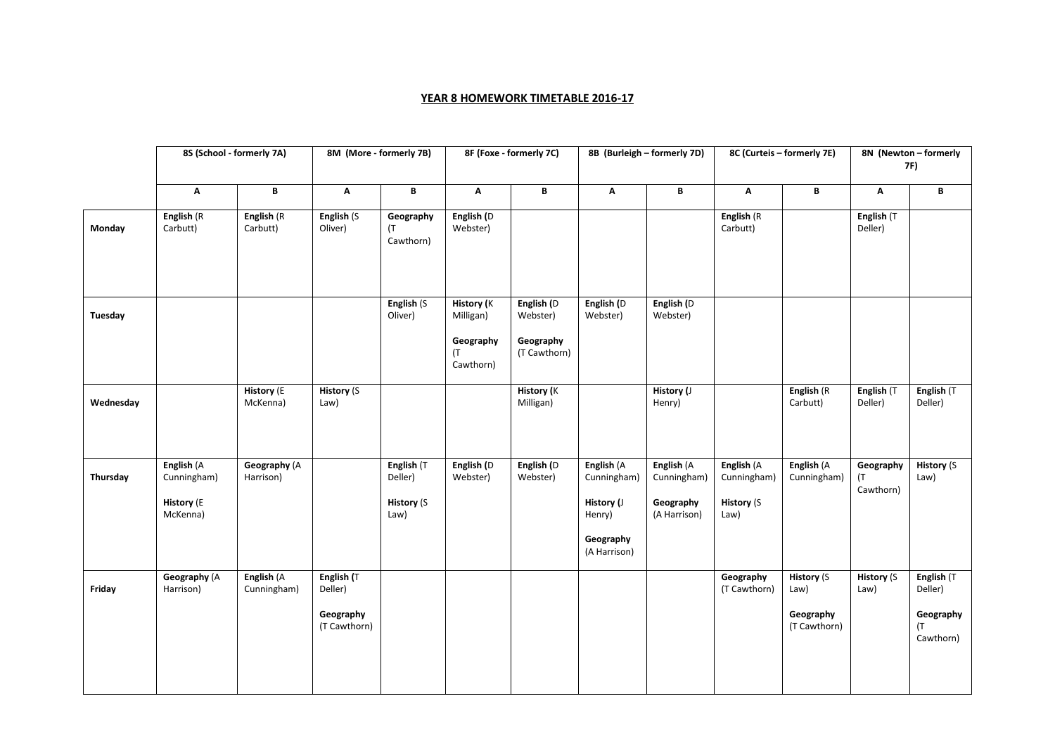## **YEAR 8 HOMEWORK TIMETABLE 2016-17**

|           | 8S (School - formerly 7A)                                  |                               | 8M (More - formerly 7B)                            |                                                    | 8F (Foxe - formerly 7C)                                         |                                                     | 8B (Burleigh - formerly 7D)                                                    |                                                           |                                                        | 8C (Curteis - formerly 7E)                              | 8N (Newton - formerly<br>7F)  |                                                       |
|-----------|------------------------------------------------------------|-------------------------------|----------------------------------------------------|----------------------------------------------------|-----------------------------------------------------------------|-----------------------------------------------------|--------------------------------------------------------------------------------|-----------------------------------------------------------|--------------------------------------------------------|---------------------------------------------------------|-------------------------------|-------------------------------------------------------|
|           | Α                                                          | B                             | Α                                                  | В                                                  | Α                                                               | В                                                   | Α                                                                              | B                                                         | Α                                                      | В                                                       | Α                             | В                                                     |
| Monday    | English (R<br>Carbutt)                                     | English (R<br>Carbutt)        | English (S<br>Oliver)                              | Geography<br>(T)<br>Cawthorn)                      | English $(D)$<br>Webster)                                       |                                                     |                                                                                |                                                           | English (R<br>Carbutt)                                 |                                                         | English (T<br>Deller)         |                                                       |
| Tuesday   |                                                            |                               |                                                    | English (S<br>Oliver)                              | <b>History (K</b><br>Milligan)<br>Geography<br>(T)<br>Cawthorn) | English (D<br>Webster)<br>Geography<br>(T Cawthorn) | English (D<br>Webster)                                                         | English (D<br>Webster)                                    |                                                        |                                                         |                               |                                                       |
| Wednesday |                                                            | <b>History</b> (E<br>McKenna) | <b>History (S)</b><br>Law)                         |                                                    |                                                                 | <b>History (K)</b><br>Milligan)                     |                                                                                | History (J<br>Henry)                                      |                                                        | English (R<br>Carbutt)                                  | English (T<br>Deller)         | English (T<br>Deller)                                 |
| Thursday  | English (A<br>Cunningham)<br><b>History</b> (E<br>McKenna) | Geography (A<br>Harrison)     |                                                    | English (T<br>Deller)<br><b>History (S</b><br>Law) | English (D<br>Webster)                                          | English (D<br>Webster)                              | English (A<br>Cunningham)<br>History (J<br>Henry)<br>Geography<br>(A Harrison) | English $(A)$<br>Cunningham)<br>Geography<br>(A Harrison) | English (A<br>Cunningham)<br><b>History (S</b><br>Law) | English (A<br>Cunningham)                               | Geography<br>(T)<br>Cawthorn) | <b>History (S</b><br>Law)                             |
| Friday    | Geography (A<br>Harrison)                                  | English (A<br>Cunningham)     | English (T<br>Deller)<br>Geography<br>(T Cawthorn) |                                                    |                                                                 |                                                     |                                                                                |                                                           | Geography<br>(T Cawthorn)                              | <b>History (S)</b><br>Law)<br>Geography<br>(T Cawthorn) | <b>History (S</b><br>Law)     | English (T<br>Deller)<br>Geography<br>(T<br>Cawthorn) |